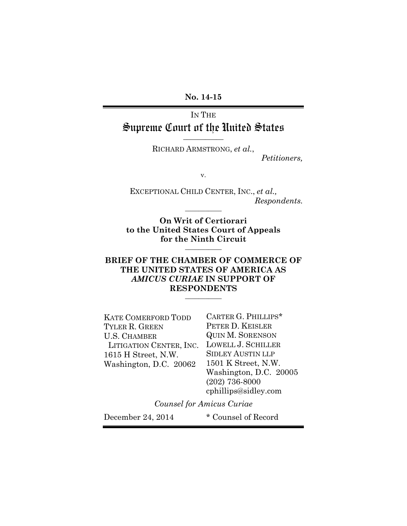**No. 14-15**

# IN THE Supreme Court of the United States **\_\_\_\_\_\_\_\_\_\_\_**

RICHARD ARMSTRONG, *et al.*,

*Petitioners,*

v.

EXCEPTIONAL CHILD CENTER, INC., *et al., Respondents.*

**On Writ of Certiorari to the United States Court of Appeals for the Ninth Circuit \_\_\_\_\_\_\_\_\_\_\_**

**\_\_\_\_\_\_\_\_\_\_\_**

### **BRIEF OF THE CHAMBER OF COMMERCE OF THE UNITED STATES OF AMERICA AS**  *AMICUS CURIAE* **IN SUPPORT OF RESPONDENTS \_\_\_\_\_\_\_\_\_\_\_**

| <b>KATE COMERFORD TODD</b> | CARTER G. PHILLIPS*      |
|----------------------------|--------------------------|
| TYLER R. GREEN             | PETER D. KEISLER         |
| <b>U.S. CHAMBER</b>        | <b>QUIN M. SORENSON</b>  |
| LITIGATION CENTER, INC.    | LOWELL J. SCHILLER       |
| 1615 H Street, N.W.        | <b>SIDLEY AUSTIN LLP</b> |
| Washington, D.C. 20062     | 1501 K Street, N.W.      |
|                            | Washington, D.C. 20005   |
|                            | $(202)$ 736-8000         |
|                            | cphillips@sidley.com     |
|                            |                          |

*Counsel for Amicus Curiae* 

December 24, 2014 \* Counsel of Record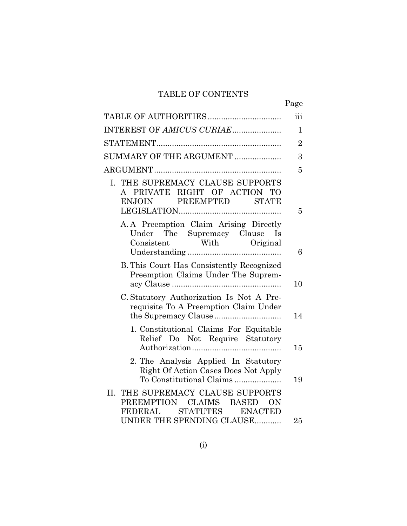# TABLE OF CONTENTS

|                                                                                                          | Page           |
|----------------------------------------------------------------------------------------------------------|----------------|
|                                                                                                          | iii            |
| INTEREST OF AMICUS CURIAE                                                                                | 1              |
|                                                                                                          | $\overline{2}$ |
| SUMMARY OF THE ARGUMENT                                                                                  | 3              |
|                                                                                                          | 5              |
| I. THE SUPREMACY CLAUSE SUPPORTS<br>A PRIVATE RIGHT OF ACTION TO<br>ENJOIN PREEMPTED STATE               | 5              |
| A.A Preemption Claim Arising Directly<br>Under The Supremacy Clause Is<br>Consistent With Original       | 6              |
| B. This Court Has Consistently Recognized<br>Preemption Claims Under The Suprem-                         | 10             |
| C. Statutory Authorization Is Not A Pre-<br>requisite To A Preemption Claim Under                        | 14             |
| 1. Constitutional Claims For Equitable<br>Relief Do Not Require Statutory                                | 15             |
| 2. The Analysis Applied In Statutory<br>Right Of Action Cases Does Not Apply<br>To Constitutional Claims | 19             |
| THE SUPREMACY CLAUSE SUPPORTS<br>II.<br>PREEMPTION CLAIMS BASED ON<br><b>FEDERAL</b><br>STATUTES ENACTED |                |
| UNDER THE SPENDING CLAUSE                                                                                | 25             |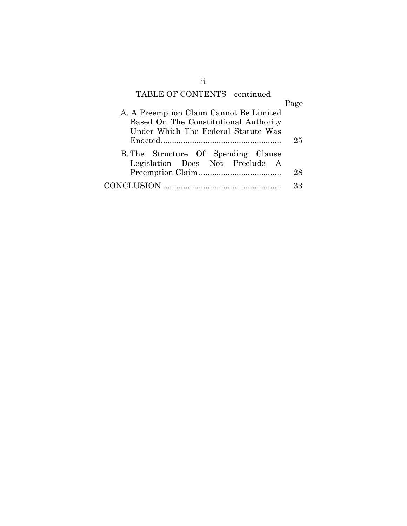# TABLE OF CONTENTS—continued

|                                                                        | Page |
|------------------------------------------------------------------------|------|
| A. A Preemption Claim Cannot Be Limited                                |      |
| Based On The Constitutional Authority                                  |      |
| Under Which The Federal Statute Was                                    |      |
|                                                                        | 25   |
| B. The Structure Of Spending Clause<br>Legislation Does Not Preclude A |      |
|                                                                        | 28   |
|                                                                        | २२   |

ii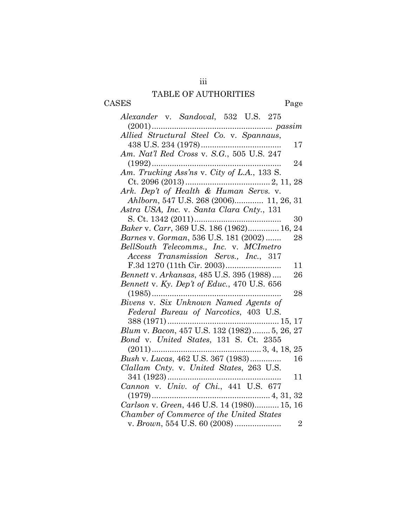# iii TABLE OF AUTHORITIES

CASES Page

| Alexander v. Sandoval, 532 U.S. 275                                                                            |                |
|----------------------------------------------------------------------------------------------------------------|----------------|
| $(2001) \dots 25001 \dots 26001 \dots 27000$ $\label{thm:1} Allied \textit{Structural Steel Co. v. Spannaus},$ |                |
|                                                                                                                |                |
|                                                                                                                | 17             |
| Am. Nat'l Red Cross v. S.G., 505 U.S. 247                                                                      |                |
|                                                                                                                | 24             |
|                                                                                                                |                |
|                                                                                                                |                |
| Ark. Dep't of Health & Human Servs. v.                                                                         |                |
| Ahlborn, 547 U.S. 268 (2006) 11, 26, 31                                                                        |                |
| Astra USA, Inc. v. Santa Clara Cnty., 131                                                                      |                |
|                                                                                                                | 30             |
| Baker v. Carr, 369 U.S. 186 (1962) 16, 24                                                                      |                |
| Barnes v. Gorman, 536 U.S. 181 (2002)                                                                          | 28             |
| BellSouth Telecomms., Inc. v. MCImetro                                                                         |                |
| Access Transmission Servs., Inc., 317                                                                          |                |
|                                                                                                                | 11             |
| Bennett v. Arkansas, 485 U.S. 395 (1988)                                                                       | 26             |
| Bennett v. Ky. Dep't of Educ., 470 U.S. 656                                                                    |                |
| $(1985)$                                                                                                       | 28             |
| Bivens v. Six Unknown Named Agents of                                                                          |                |
| Federal Bureau of Narcotics, 403 U.S.                                                                          |                |
|                                                                                                                |                |
| Blum v. Bacon, 457 U.S. 132 (1982) 5, 26, 27                                                                   |                |
| Bond v. United States, 131 S. Ct. 2355                                                                         |                |
|                                                                                                                |                |
| Bush v. Lucas, 462 U.S. 367 (1983)                                                                             | 16             |
| Clallam Cnty. v. United States, 263 U.S.                                                                       |                |
|                                                                                                                | 11             |
|                                                                                                                |                |
|                                                                                                                |                |
| Carlson v. Green, 446 U.S. 14 (1980) 15, 16                                                                    |                |
| Chamber of Commerce of the United States                                                                       |                |
| v. <i>Brown</i> , 554 U.S. 60 (2008)                                                                           | $\overline{2}$ |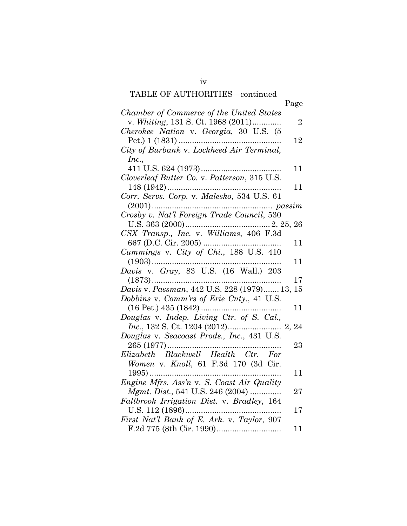# TABLE OF AUTHORITIES—continued

|                                              | Page           |
|----------------------------------------------|----------------|
| Chamber of Commerce of the United States     |                |
| v. Whiting, 131 S. Ct. 1968 (2011)           | $\overline{2}$ |
| Cherokee Nation v. Georgia, 30 U.S. (5       |                |
|                                              | 12             |
| City of Burbank v. Lockheed Air Terminal,    |                |
| Inc.,                                        | 11             |
| Cloverleaf Butter Co. v. Patterson, 315 U.S. |                |
|                                              | 11             |
| Corr. Servs. Corp. v. Malesko, 534 U.S. 61   |                |
|                                              |                |
| Crosby v. Nat'l Foreign Trade Council, 530   |                |
|                                              |                |
|                                              |                |
|                                              | 11             |
| Cummings v. City of Chi., 188 U.S. 410       |                |
|                                              | 11             |
| Davis v. Gray, 83 U.S. (16 Wall.) 203        |                |
| $(1873)$                                     | 17             |
| Davis v. Passman, 442 U.S. 228 (1979) 13,    | 15             |
| Dobbins v. Comm'rs of Erie Cnty., 41 U.S.    |                |
| $(16$ Pet.) $435$ $(1842)$                   | 11             |
| Douglas v. Indep. Living Ctr. of S. Cal.,    |                |
| Douglas v. Seacoast Prods., Inc., 431 U.S.   |                |
|                                              | 23             |
| Elizabeth Blackwell Health Ctr. For          |                |
| Women v. Knoll, 61 F.3d 170 (3d Cir.         |                |
|                                              | 11             |
| Engine Mfrs. Ass'n v. S. Coast Air Quality   |                |
| Mgmt. Dist., 541 U.S. 246 (2004)             | 27             |
| Fallbrook Irrigation Dist. v. Bradley, 164   |                |
| U.S. 112 (1896)                              | 17             |
| First Nat'l Bank of E. Ark. v. Taylor, 907   |                |
|                                              | 11             |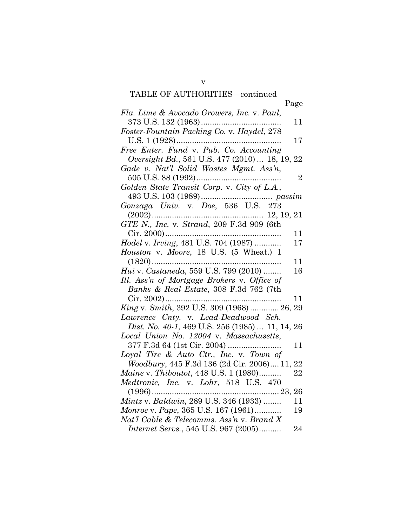# v TABLE OF AUTHORITIES—continued

| TABLE OF AUTHORITIES-continued                  |                |
|-------------------------------------------------|----------------|
|                                                 | Page           |
| Fla. Lime & Avocado Growers, Inc. v. Paul,      |                |
| 373 U.S. 132 (1963)                             | 11             |
| Foster-Fountain Packing Co. v. Haydel, 278      |                |
| U.S. 1 (1928)                                   | 17             |
| Free Enter. Fund v. Pub. Co. Accounting         |                |
| Oversight Bd., 561 U.S. 477 (2010)  18, 19, 22  |                |
| Gade v. Nat'l Solid Wastes Mgmt. Ass'n,         |                |
| 505 U.S. 88 (1992)                              | $\overline{2}$ |
| Golden State Transit Corp. v. City of L.A.,     |                |
|                                                 |                |
| Gonzaga Univ. v. Doe, 536 U.S. 273              |                |
|                                                 |                |
| GTE N., Inc. v. Strand, 209 F.3d 909 (6th       |                |
| Cir. 2000)                                      | 11             |
| Hodel v. Irving, 481 U.S. 704 (1987)            | 17             |
| Houston v. Moore, 18 U.S. (5 Wheat.) 1          |                |
| .                                               | 11             |
| Hui v. Castaneda, 559 U.S. 799 (2010)           | 16             |
| Ill. Ass'n of Mortgage Brokers v. Office of     |                |
| Banks & Real Estate, 308 F.3d 762 (7th          |                |
|                                                 | 11             |
| King v. Smith, 392 U.S. 309 (1968)  26, 29      |                |
| Lawrence Cnty. v. Lead-Deadwood Sch.            |                |
| Dist. No. 40-1, 469 U.S. 256 (1985)  11, 14, 26 |                |
| Local Union No. 12004 v. Massachusetts,         | 11             |
| Loyal Tire & Auto Ctr., Inc. v. Town of         |                |
| Woodbury, 445 F.3d 136 (2d Cir. 2006) 11, 22    |                |
| Maine v. Thiboutot, 448 U.S. 1 (1980)           | 22             |
| Medtronic, Inc. v. Lohr, 518 U.S. 470           |                |
|                                                 |                |
|                                                 |                |
| Monroe v. Pape, 365 U.S. 167 (1961)             | 19             |
| Nat'l Cable & Telecomms. Ass'n v. Brand X       |                |
| Internet Servs., 545 U.S. 967 (2005)            | 24             |
|                                                 |                |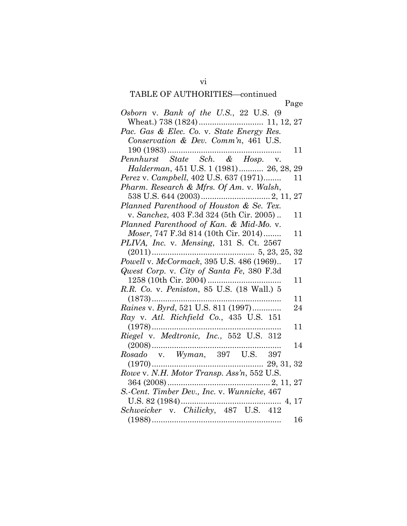# vi TABLE OF AUTHORITIES—continued

|                                             | Page |
|---------------------------------------------|------|
| Osborn v. Bank of the U.S., 22 U.S. (9      |      |
|                                             |      |
| Pac. Gas & Elec. Co. v. State Energy Res.   |      |
| Conservation & Dev. Comm'n, 461 U.S.        |      |
|                                             | 11   |
|                                             |      |
| Halderman, 451 U.S. 1 (1981) 26, 28, 29     |      |
| Perez v. Campbell, 402 U.S. 637 (1971)      | 11   |
| Pharm. Research & Mfrs. Of Am. v. Walsh,    |      |
|                                             |      |
| Planned Parenthood of Houston & Se. Tex.    |      |
| v. Sanchez, 403 F.3d 324 (5th Cir. 2005)    | 11   |
| Planned Parenthood of Kan. & Mid-Mo. v.     |      |
| Moser, 747 F.3d 814 (10th Cir. 2014)        | 11   |
| PLIVA, Inc. v. Mensing, 131 S. Ct. 2567     |      |
|                                             |      |
| Powell v. McCormack, 395 U.S. 486 (1969)    | 17   |
| Qwest Corp. v. City of Santa Fe, 380 F.3d   |      |
|                                             | 11   |
| R.R. Co. v. Peniston, 85 U.S. (18 Wall.) 5  |      |
|                                             | 11   |
| Raines v. Byrd, 521 U.S. 811 (1997)         | 24   |
| Ray v. Atl. Richfield Co., 435 U.S. 151     |      |
|                                             | 11   |
| Riegel v. Medtronic, Inc., 552 U.S. 312     |      |
|                                             | 14   |
| Rosado v. Wyman, 397 U.S. 397               |      |
|                                             |      |
| Rowe v. N.H. Motor Transp. Ass'n, 552 U.S.  |      |
|                                             |      |
| S.-Cent. Timber Dev., Inc. v. Wunnicke, 467 |      |
|                                             |      |
|                                             |      |
|                                             | 16   |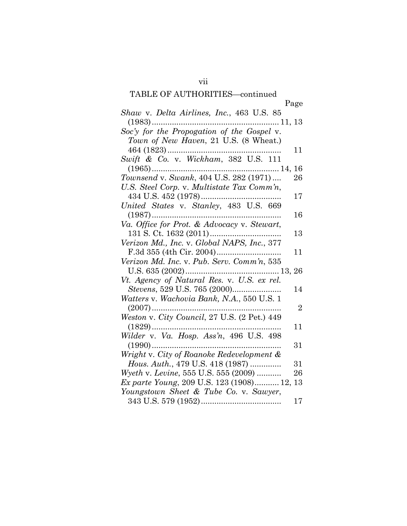# TABLE OF AUTHORITIES—continued

|                                                   | Page           |
|---------------------------------------------------|----------------|
| Shaw v. Delta Airlines, Inc., 463 U.S. 85         |                |
|                                                   |                |
| Soc'y for the Propogation of the Gospel v.        |                |
| Town of New Haven, 21 U.S. (8 Wheat.)             |                |
|                                                   | 11             |
| Swift & Co. v. Wickham, 382 U.S. 111              |                |
| $(1965)$                                          |                |
| Townsend v. Swank, 404 U.S. 282 (1971)            | 26             |
| U.S. Steel Corp. v. Multistate Tax Comm'n,        |                |
|                                                   | 17             |
|                                                   |                |
|                                                   | 16             |
| Va. Office for Prot. & Advocacy v. Stewart,       |                |
| 131 S. Ct. 1632 (2011)                            | 13             |
| Verizon Md., Inc. v. Global NAPS, Inc., 377       |                |
|                                                   | 11             |
| Verizon Md. Inc. v. Pub. Serv. Comm'n, 535        |                |
|                                                   |                |
| Vt. Agency of Natural Res. v. U.S. ex rel.        |                |
|                                                   | 14             |
| Watters v. Wachovia Bank, N.A., 550 U.S. 1        |                |
| $(2007)$                                          | $\overline{2}$ |
| Weston v. City Council, 27 U.S. (2 Pet.) 449      |                |
| $(1829)$                                          | 11             |
|                                                   |                |
| $(1990)$                                          | 31             |
| Wright v. City of Roanoke Redevelopment &         |                |
| Hous. Auth., 479 U.S. 418 (1987)                  | 31             |
| Wyeth v. Levine, 555 U.S. 555 (2009)              | 26             |
| <i>Ex parte Young, 209 U.S. 123 (1908) 12, 13</i> |                |
| Youngstown Sheet & Tube Co. v. Sawyer,            |                |
|                                                   | 17             |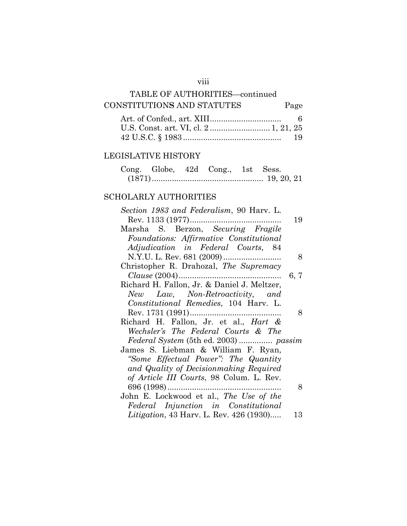# TABLE OF AUTHORITIES—continued CONSTITUTION**S** AND STATUTES Page

| -19 |
|-----|

## LEGISLATIVE HISTORY

|  | Cong. Globe, 42d Cong., 1st Sess. |  |
|--|-----------------------------------|--|
|  |                                   |  |

## SCHOLARLY AUTHORITIES

| Section 1983 and Federalism, 90 Harv. L.         |      |
|--------------------------------------------------|------|
|                                                  | 19   |
| Marsha S. Berzon, Securing Fragile               |      |
| Foundations: Affirmative Constitutional          |      |
| Adjudication in Federal Courts, 84               |      |
|                                                  | 8    |
| Christopher R. Drahozal, The Supremacy           |      |
|                                                  | 6, 7 |
| Richard H. Fallon, Jr. & Daniel J. Meltzer,      |      |
| New Law, Non-Retroactivity, and                  |      |
| Constitutional Remedies, 104 Harv. L.            |      |
|                                                  | 8    |
| Richard H. Fallon, Jr. et al., <i>Hart &amp;</i> |      |
| Wechsler's The Federal Courts & The              |      |
|                                                  |      |
| James S. Liebman & William F. Ryan,              |      |
| "Some Effectual Power": The Quantity             |      |
| and Quality of Decision making Required          |      |
| of Article III Courts, 98 Colum. L. Rev.         |      |
|                                                  | 8    |
| John E. Lockwood et al., The Use of the          |      |
| Federal Injunction in Constitutional             |      |
| <i>Litigation</i> , 43 Harv. L. Rev. 426 (1930)  | 13   |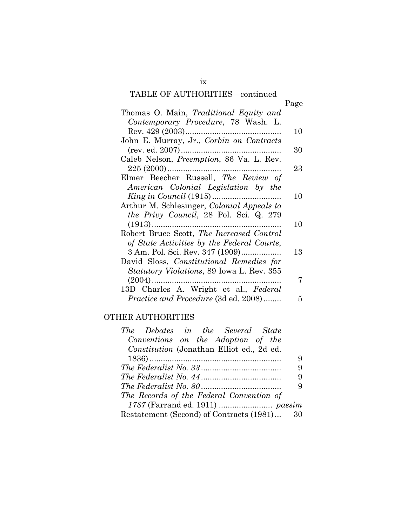## TABLE OF AUTHORITIES—continued

| ٦ |
|---|
|---|

| Thomas O. Main, Traditional Equity and            |    |
|---------------------------------------------------|----|
| Contemporary Procedure, 78 Wash. L.               |    |
|                                                   | 10 |
| John E. Murray, Jr., Corbin on Contracts          |    |
|                                                   | 30 |
| Caleb Nelson, Preemption, 86 Va. L. Rev.          |    |
|                                                   | 23 |
| Elmer Beecher Russell, The Review of              |    |
| American Colonial Legislation by the              |    |
|                                                   | 10 |
| Arthur M. Schlesinger, <i>Colonial Appeals to</i> |    |
| <i>the Privy Council</i> , 28 Pol. Sci. Q. 279    |    |
| $(1913)$                                          | 10 |
| Robert Bruce Scott, The Increased Control         |    |
| of State Activities by the Federal Courts,        |    |
| 3 Am. Pol. Sci. Rev. 347 (1909)                   | 13 |
| David Sloss, Constitutional Remedies for          |    |
| <i>Statutory Violations, 89 Iowa L. Rev. 355</i>  |    |
|                                                   | 7  |
| 13D Charles A. Wright et al., Federal             |    |
| <i>Practice and Procedure</i> (3d ed. 2008)       | 5  |

# OTHER AUTHORITIES

| The Debates in the Several State            |   |
|---------------------------------------------|---|
| Conventions on the Adoption of the          |   |
| Constitution (Jonathan Elliot ed., 2d ed.   |   |
|                                             | 9 |
|                                             | 9 |
|                                             | 9 |
|                                             | 9 |
| The Records of the Federal Convention of    |   |
|                                             |   |
| Restatement (Second) of Contracts (1981) 30 |   |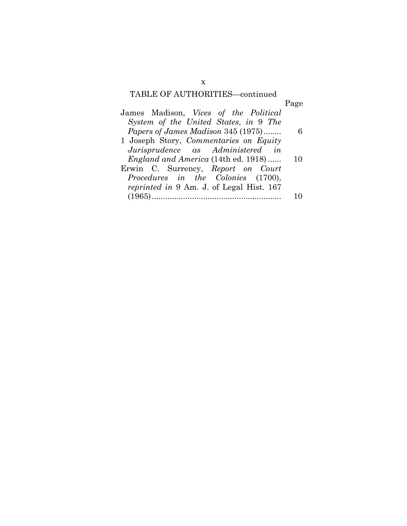# TABLE OF AUTHORITIES—continued

|                                                 | Page |
|-------------------------------------------------|------|
| James Madison, Vices of the Political           |      |
| System of the United States, in 9 The           |      |
| Papers of James Madison 345 (1975)              | - 6  |
| 1 Joseph Story, Commentaries on Equity          |      |
| Jurisprudence as Administered in                |      |
| <i>England and America</i> (14th ed. 1918)      | 10   |
| Erwin C. Surrency, Report on Court              |      |
| Procedures in the Colonies (1700),              |      |
| <i>reprinted in</i> 9 Am. J. of Legal Hist. 167 |      |
| (1965).                                         |      |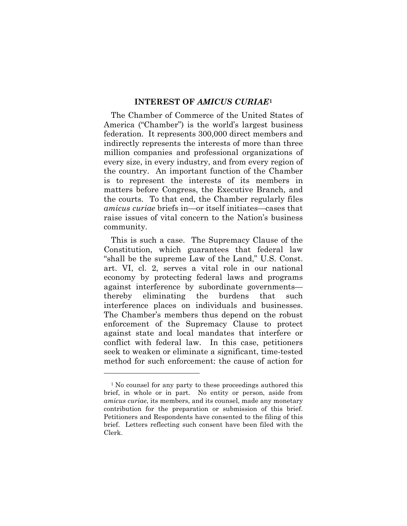#### **INTEREST OF** *AMICUS CURIAE***[1](#page-11-0)**

The Chamber of Commerce of the United States of America ("Chamber") is the world's largest business federation. It represents 300,000 direct members and indirectly represents the interests of more than three million companies and professional organizations of every size, in every industry, and from every region of the country. An important function of the Chamber is to represent the interests of its members in matters before Congress, the Executive Branch, and the courts. To that end, the Chamber regularly files *amicus curiae* briefs in—or itself initiates—cases that raise issues of vital concern to the Nation's business community.

This is such a case. The Supremacy Clause of the Constitution, which guarantees that federal law "shall be the supreme Law of the Land," U.S. Const. art. VI, cl. 2, serves a vital role in our national economy by protecting federal laws and programs against interference by subordinate governments thereby eliminating the burdens that such interference places on individuals and businesses. The Chamber's members thus depend on the robust enforcement of the Supremacy Clause to protect against state and local mandates that interfere or conflict with federal law. In this case, petitioners seek to weaken or eliminate a significant, time-tested method for such enforcement: the cause of action for

 $\overline{a}$ 

<span id="page-11-0"></span><sup>&</sup>lt;sup>1</sup> No counsel for any party to these proceedings authored this brief, in whole or in part. No entity or person, aside from *amicus curiae*, its members, and its counsel, made any monetary contribution for the preparation or submission of this brief. Petitioners and Respondents have consented to the filing of this brief. Letters reflecting such consent have been filed with the Clerk.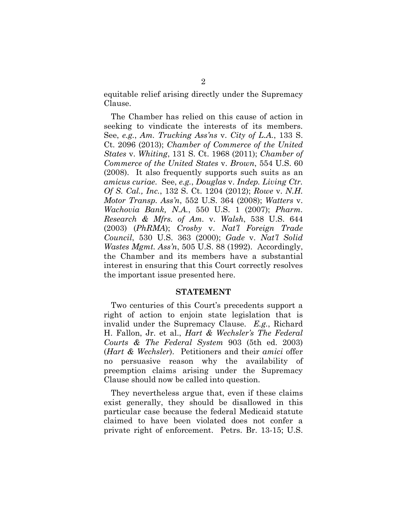equitable relief arising directly under the Supremacy Clause.

The Chamber has relied on this cause of action in seeking to vindicate the interests of its members. See, *e.g.*, *Am. Trucking Ass'ns* v. *City of L.A.*, 133 S. Ct. 2096 (2013); *Chamber of Commerce of the United States* v. *Whiting*, 131 S. Ct. 1968 (2011); *Chamber of Commerce of the United States* v. *Brown*, 554 U.S. 60 (2008). It also frequently supports such suits as an *amicus curiae*. See, *e.g.*, *Douglas* v. *Indep. Living Ctr. Of S. Cal., Inc.*, 132 S. Ct. 1204 (2012); *Rowe* v. *N.H. Motor Transp. Ass'n*, 552 U.S. 364 (2008); *Watters* v. *Wachovia Bank, N.A.*, 550 U.S. 1 (2007); *Pharm. Research & Mfrs. of Am.* v. *Walsh*, 538 U.S. 644 (2003) (*PhRMA*); *Crosby* v. *Nat'l Foreign Trade Council*, 530 U.S. 363 (2000); *Gade* v. *Nat'l Solid Wastes Mgmt. Ass'n*, 505 U.S. 88 (1992). Accordingly, the Chamber and its members have a substantial interest in ensuring that this Court correctly resolves the important issue presented here.

#### **STATEMENT**

Two centuries of this Court's precedents support a right of action to enjoin state legislation that is invalid under the Supremacy Clause. *E.g.*, Richard H. Fallon, Jr. et al., *Hart & Wechsler's The Federal Courts & The Federal System* 903 (5th ed. 2003) (*Hart & Wechsler*). Petitioners and their *amici* offer no persuasive reason why the availability of preemption claims arising under the Supremacy Clause should now be called into question.

They nevertheless argue that, even if these claims exist generally, they should be disallowed in this particular case because the federal Medicaid statute claimed to have been violated does not confer a private right of enforcement. Petrs. Br. 13-15; U.S.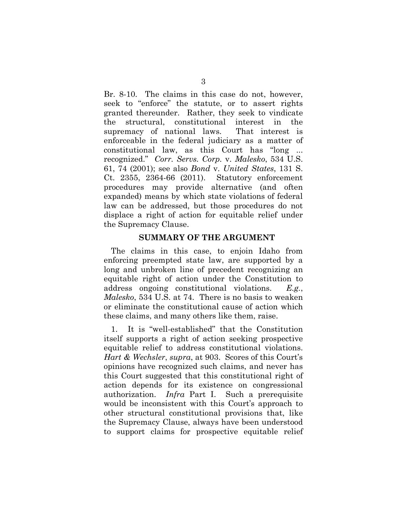Br. 8-10. The claims in this case do not, however, seek to "enforce" the statute, or to assert rights granted thereunder. Rather, they seek to vindicate the structural, constitutional interest in the supremacy of national laws. That interest is enforceable in the federal judiciary as a matter of constitutional law, as this Court has "long ... recognized." *Corr. Servs. Corp.* v. *Malesko*, 534 U.S. 61, 74 (2001); see also *Bond* v. *United States*, 131 S. Ct. 2355, 2364-66 (2011). Statutory enforcement procedures may provide alternative (and often expanded) means by which state violations of federal law can be addressed, but those procedures do not displace a right of action for equitable relief under the Supremacy Clause.

#### **SUMMARY OF THE ARGUMENT**

The claims in this case, to enjoin Idaho from enforcing preempted state law, are supported by a long and unbroken line of precedent recognizing an equitable right of action under the Constitution to address ongoing constitutional violations. *E.g.*, *Malesko*, 534 U.S. at 74. There is no basis to weaken or eliminate the constitutional cause of action which these claims, and many others like them, raise.

1. It is "well-established" that the Constitution itself supports a right of action seeking prospective equitable relief to address constitutional violations. *Hart & Wechsler*, *supra*, at 903. Scores of this Court's opinions have recognized such claims, and never has this Court suggested that this constitutional right of action depends for its existence on congressional authorization. *Infra* Part I. Such a prerequisite would be inconsistent with this Court's approach to other structural constitutional provisions that, like the Supremacy Clause, always have been understood to support claims for prospective equitable relief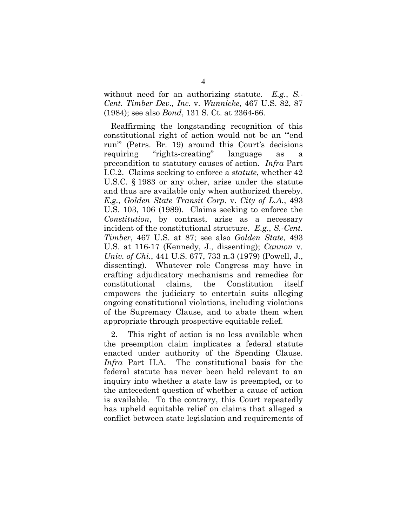without need for an authorizing statute. *E.g.*, *S.- Cent. Timber Dev., Inc.* v. *Wunnicke*, 467 U.S. 82, 87 (1984); see also *Bond*, 131 S. Ct. at 2364-66.

Reaffirming the longstanding recognition of this constitutional right of action would not be an "'end run'" (Petrs. Br. 19) around this Court's decisions requiring "rights-creating" language as a precondition to statutory causes of action. *Infra* Part I.C.2. Claims seeking to enforce a *statute*, whether 42 U.S.C. § 1983 or any other, arise under the statute and thus are available only when authorized thereby. *E.g.*, *Golden State Transit Corp.* v. *City of L.A.*, 493 U.S. 103, 106 (1989). Claims seeking to enforce the *Constitution*, by contrast, arise as a necessary incident of the constitutional structure. *E.g.*, *S.-Cent. Timber*, 467 U.S. at 87; see also *Golden State*, 493 U.S. at 116-17 (Kennedy, J., dissenting); *Cannon* v. *Univ. of Chi.*, 441 U.S. 677, 733 n.3 (1979) (Powell, J., dissenting). Whatever role Congress may have in crafting adjudicatory mechanisms and remedies for constitutional claims, the Constitution itself empowers the judiciary to entertain suits alleging ongoing constitutional violations, including violations of the Supremacy Clause, and to abate them when appropriate through prospective equitable relief.

2. This right of action is no less available when the preemption claim implicates a federal statute enacted under authority of the Spending Clause. *Infra* Part II.A. The constitutional basis for the federal statute has never been held relevant to an inquiry into whether a state law is preempted, or to the antecedent question of whether a cause of action is available. To the contrary, this Court repeatedly has upheld equitable relief on claims that alleged a conflict between state legislation and requirements of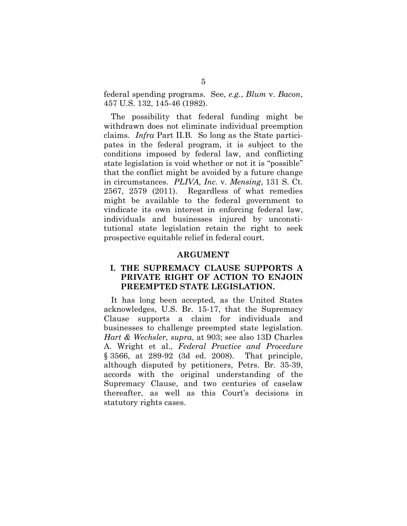federal spending programs. See, *e.g.*, *Blum* v. *Bacon*, 457 U.S. 132, 145-46 (1982).

The possibility that federal funding might be withdrawn does not eliminate individual preemption claims. *Infra* Part II.B. So long as the State participates in the federal program, it is subject to the conditions imposed by federal law, and conflicting state legislation is void whether or not it is "possible" that the conflict might be avoided by a future change in circumstances. *PLIVA, Inc.* v. *Mensing*, 131 S. Ct. 2567, 2579 (2011). Regardless of what remedies might be available to the federal government to vindicate its own interest in enforcing federal law, individuals and businesses injured by unconstitutional state legislation retain the right to seek prospective equitable relief in federal court.

#### **ARGUMENT**

### **I. THE SUPREMACY CLAUSE SUPPORTS A PRIVATE RIGHT OF ACTION TO ENJOIN PREEMPTED STATE LEGISLATION.**

It has long been accepted, as the United States acknowledges, U.S. Br. 15-17, that the Supremacy Clause supports a claim for individuals and businesses to challenge preempted state legislation. *Hart & Wechsler*, *supra*, at 903; see also 13D Charles A. Wright et al., *Federal Practice and Procedure* § 3566, at 289-92 (3d ed. 2008). That principle, although disputed by petitioners, Petrs. Br. 35-39, accords with the original understanding of the Supremacy Clause, and two centuries of caselaw thereafter, as well as this Court's decisions in statutory rights cases.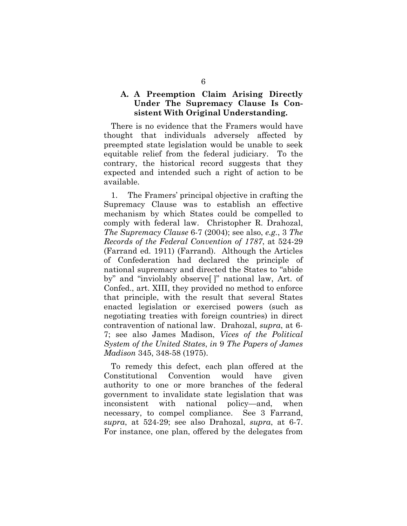## **A. A Preemption Claim Arising Directly Under The Supremacy Clause Is Consistent With Original Understanding.**

There is no evidence that the Framers would have thought that individuals adversely affected by preempted state legislation would be unable to seek equitable relief from the federal judiciary. To the contrary, the historical record suggests that they expected and intended such a right of action to be available.

1. The Framers' principal objective in crafting the Supremacy Clause was to establish an effective mechanism by which States could be compelled to comply with federal law. Christopher R. Drahozal, *The Supremacy Clause* 6-7 (2004); see also, *e.g.*, 3 *The Records of the Federal Convention of 1787*, at 524-29 (Farrand ed. 1911) (Farrand). Although the Articles of Confederation had declared the principle of national supremacy and directed the States to "abide by" and "inviolably observe[ ]" national law, Art. of Confed., art. XIII, they provided no method to enforce that principle, with the result that several States enacted legislation or exercised powers (such as negotiating treaties with foreign countries) in direct contravention of national law. Drahozal, *supra*, at 6- 7; see also James Madison, *Vices of the Political System of the United States*, *in* 9 *The Papers of James Madison* 345, 348-58 (1975).

To remedy this defect, each plan offered at the Constitutional Convention would have given authority to one or more branches of the federal government to invalidate state legislation that was inconsistent with national policy—and, when necessary, to compel compliance. See 3 Farrand, *supra*, at 524-29; see also Drahozal, *supra*, at 6-7. For instance, one plan, offered by the delegates from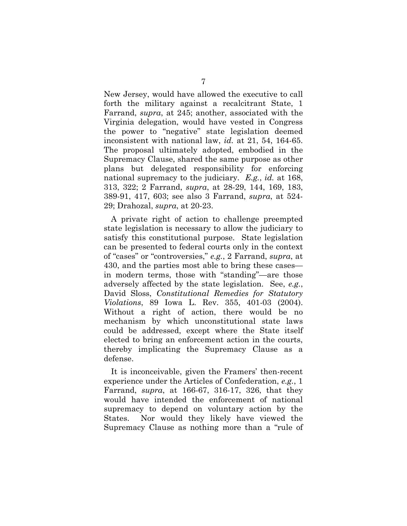New Jersey, would have allowed the executive to call forth the military against a recalcitrant State, 1 Farrand, *supra*, at 245; another, associated with the Virginia delegation, would have vested in Congress the power to "negative" state legislation deemed inconsistent with national law, *id.* at 21, 54, 164-65. The proposal ultimately adopted, embodied in the Supremacy Clause, shared the same purpose as other plans but delegated responsibility for enforcing national supremacy to the judiciary. *E.g.*, *id.* at 168, 313, 322; 2 Farrand, *supra*, at 28-29, 144, 169, 183, 389-91, 417, 603; see also 3 Farrand, *supra*, at 524- 29; Drahozal, *supra*, at 20-23.

A private right of action to challenge preempted state legislation is necessary to allow the judiciary to satisfy this constitutional purpose. State legislation can be presented to federal courts only in the context of "cases" or "controversies," *e.g.*, 2 Farrand, *supra*, at 430, and the parties most able to bring these cases in modern terms, those with "standing"—are those adversely affected by the state legislation. See, *e.g.*, David Sloss, *Constitutional Remedies for Statutory Violations*, 89 Iowa L. Rev. 355, 401-03 (2004). Without a right of action, there would be no mechanism by which unconstitutional state laws could be addressed, except where the State itself elected to bring an enforcement action in the courts, thereby implicating the Supremacy Clause as a defense.

It is inconceivable, given the Framers' then-recent experience under the Articles of Confederation, *e.g.*, 1 Farrand, *supra*, at 166-67, 316-17, 326, that they would have intended the enforcement of national supremacy to depend on voluntary action by the States. Nor would they likely have viewed the Supremacy Clause as nothing more than a "rule of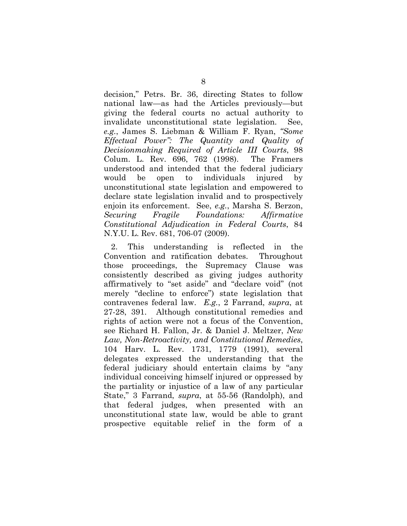decision," Petrs. Br. 36, directing States to follow national law—as had the Articles previously—but giving the federal courts no actual authority to invalidate unconstitutional state legislation. See, *e.g.*, James S. Liebman & William F. Ryan, *"Some Effectual Power": The Quantity and Quality of Decisionmaking Required of Article III Courts*, 98 Colum. L. Rev. 696, 762 (1998). The Framers understood and intended that the federal judiciary would be open to individuals injured by unconstitutional state legislation and empowered to declare state legislation invalid and to prospectively enjoin its enforcement. See, *e.g.*, Marsha S. Berzon, *Securing Fragile Foundations: Affirmative Constitutional Adjudication in Federal Courts*, 84 N.Y.U. L. Rev. 681, 706-07 (2009).

2. This understanding is reflected in the Convention and ratification debates. Throughout those proceedings, the Supremacy Clause was consistently described as giving judges authority affirmatively to "set aside" and "declare void" (not merely "decline to enforce") state legislation that contravenes federal law. *E.g.*, 2 Farrand, *supra*, at 27-28, 391. Although constitutional remedies and rights of action were not a focus of the Convention, see Richard H. Fallon, Jr. & Daniel J. Meltzer, *New Law, Non-Retroactivity, and Constitutional Remedies*, 104 Harv. L. Rev. 1731, 1779 (1991), several delegates expressed the understanding that the federal judiciary should entertain claims by "any individual conceiving himself injured or oppressed by the partiality or injustice of a law of any particular State," 3 Farrand, *supra*, at 55-56 (Randolph), and that federal judges, when presented with an unconstitutional state law, would be able to grant prospective equitable relief in the form of a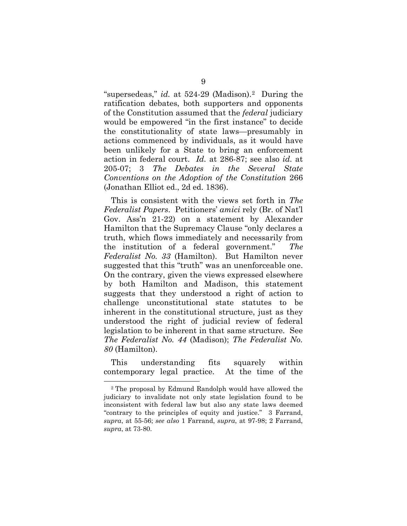"supersedeas," *id.* at 524-29 (Madison).[2](#page-19-0) During the ratification debates, both supporters and opponents of the Constitution assumed that the *federal* judiciary would be empowered "in the first instance" to decide the constitutionality of state laws—presumably in actions commenced by individuals, as it would have been unlikely for a State to bring an enforcement action in federal court. *Id.* at 286-87; see also *id.* at 205-07; 3 *The Debates in the Several State Conventions on the Adoption of the Constitution* 266 (Jonathan Elliot ed., 2d ed. 1836).

This is consistent with the views set forth in *The Federalist Papers*. Petitioners' *amici* rely (Br. of Nat'l Gov. Ass'n 21-22) on a statement by Alexander Hamilton that the Supremacy Clause "only declares a truth, which flows immediately and necessarily from the institution of a federal government." *The Federalist No. 33* (Hamilton). But Hamilton never suggested that this "truth" was an unenforceable one. On the contrary, given the views expressed elsewhere by both Hamilton and Madison, this statement suggests that they understood a right of action to challenge unconstitutional state statutes to be inherent in the constitutional structure, just as they understood the right of judicial review of federal legislation to be inherent in that same structure. See *The Federalist No. 44* (Madison); *The Federalist No. 80* (Hamilton).

This understanding fits squarely within contemporary legal practice. At the time of the

<span id="page-19-0"></span> <sup>2</sup> The proposal by Edmund Randolph would have allowed the judiciary to invalidate not only state legislation found to be inconsistent with federal law but also any state laws deemed "contrary to the principles of equity and justice." 3 Farrand, *supra*, at 55-56; *see also* 1 Farrand, *supra*, at 97-98; 2 Farrand, *supra*, at 73-80.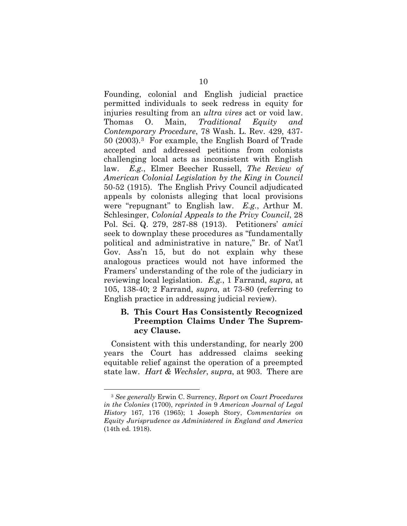Founding, colonial and English judicial practice permitted individuals to seek redress in equity for injuries resulting from an *ultra vires* act or void law. Thomas O. Main, *Traditional Equity and Contemporary Procedure*, 78 Wash. L. Rev. 429, 437- 50 (2003).[3](#page-20-0) For example, the English Board of Trade accepted and addressed petitions from colonists challenging local acts as inconsistent with English law. *E.g.*, Elmer Beecher Russell, *The Review of American Colonial Legislation by the King in Council* 50-52 (1915). The English Privy Council adjudicated appeals by colonists alleging that local provisions were "repugnant" to English law. *E.g.*, Arthur M. Schlesinger, *Colonial Appeals to the Privy Council*, 28 Pol. Sci. Q. 279, 287-88 (1913). Petitioners' *amici* seek to downplay these procedures as "fundamentally political and administrative in nature," Br. of Nat'l Gov. Ass'n 15, but do not explain why these analogous practices would not have informed the Framers' understanding of the role of the judiciary in reviewing local legislation. *E.g.*, 1 Farrand, *supra*, at 105, 138-40; 2 Farrand, *supra*, at 73-80 (referring to English practice in addressing judicial review).

### **B. This Court Has Consistently Recognized Preemption Claims Under The Supremacy Clause.**

Consistent with this understanding, for nearly 200 years the Court has addressed claims seeking equitable relief against the operation of a preempted state law. *Hart & Wechsler*, *supra*, at 903. There are

<span id="page-20-0"></span> <sup>3</sup> *See generally* Erwin C. Surrency, *Report on Court Procedures in the Colonies* (1700), *reprinted in* 9 *American Journal of Legal History* 167, 176 (1965); 1 Joseph Story, *Commentaries on Equity Jurisprudence as Administered in England and America* (14th ed. 1918).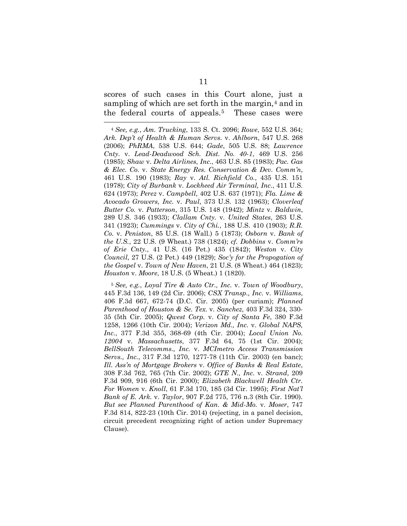<span id="page-21-3"></span><span id="page-21-2"></span>scores of such cases in this Court alone, just a sampling of which are set forth in the margin,<sup>[4](#page-21-0)</sup> and in the federal courts of appeals.<sup>[5](#page-21-1)</sup> These cases were

<span id="page-21-1"></span><sup>5</sup> *See, e.g.*, *Loyal Tire & Auto Ctr., Inc.* v. *Town of Woodbury*, 445 F.3d 136, 149 (2d Cir. 2006); *CSX Transp., Inc.* v. *Williams*, 406 F.3d 667, 672-74 (D.C. Cir. 2005) (per curiam); *Planned Parenthood of Houston & Se. Tex.* v. *Sanchez*, 403 F.3d 324, 330- 35 (5th Cir. 2005); *Qwest Corp.* v. *City of Santa Fe*, 380 F.3d 1258, 1266 (10th Cir. 2004); *Verizon Md., Inc.* v. *Global NAPS, Inc.*, 377 F.3d 355, 368-69 (4th Cir. 2004); *Local Union No. 12004* v. *Massachusetts*, 377 F.3d 64, 75 (1st Cir. 2004); *BellSouth Telecomms., Inc.* v. *MCImetro Access Transmission Servs., Inc.*, 317 F.3d 1270, 1277-78 (11th Cir. 2003) (en banc); *Ill. Ass'n of Mortgage Brokers* v. *Office of Banks & Real Estate*, 308 F.3d 762, 765 (7th Cir. 2002); *GTE N., Inc.* v. *Strand*, 209 F.3d 909, 916 (6th Cir. 2000); *Elizabeth Blackwell Health Ctr. For Women* v. *Knoll*, 61 F.3d 170, 185 (3d Cir. 1995); *First Nat'l Bank of E. Ark.* v. *Taylor*, 907 F.2d 775, 776 n.3 (8th Cir. 1990). *But see Planned Parenthood of Kan. & Mid-Mo.* v. *Moser*, 747 F.3d 814, 822-23 (10th Cir. 2014) (rejecting, in a panel decision, circuit precedent recognizing right of action under Supremacy Clause).

<span id="page-21-0"></span> <sup>4</sup> *See, e.g.*, *Am. Trucking*, 133 S. Ct. 2096; *Rowe*, 552 U.S. 364; *Ark. Dep't of Health & Human Servs.* v. *Ahlborn*, 547 U.S. 268 (2006); *PhRMA*, 538 U.S. 644; *Gade*, 505 U.S. 88; *Lawrence Cnty.* v. *Lead-Deadwood Sch. Dist. No. 40-1*, 469 U.S. 256 (1985); *Shaw* v. *Delta Airlines, Inc.*, 463 U.S. 85 (1983); *Pac. Gas & Elec. Co.* v. *State Energy Res. Conservation & Dev. Comm'n*, 461 U.S. 190 (1983); *Ray* v. *Atl. Richfield Co.*, 435 U.S. 151 (1978); *City of Burbank* v. *Lockheed Air Terminal, Inc.*, 411 U.S. 624 (1973); *Perez* v. *Campbell*, 402 U.S. 637 (1971); *Fla. Lime & Avocado Growers, Inc.* v. *Paul*, 373 U.S. 132 (1963); *Cloverleaf Butter Co.* v. *Patterson*, 315 U.S. 148 (1942); *Mintz* v. *Baldwin*, 289 U.S. 346 (1933); *Clallam Cnty.* v. *United States*, 263 U.S. 341 (1923); *Cummings* v. *City of Chi.*, 188 U.S. 410 (1903); *R.R. Co.* v. *Peniston*, 85 U.S. (18 Wall.) 5 (1873); *Osborn* v. *Bank of the U.S.*, 22 U.S. (9 Wheat.) 738 (1824); *cf. Dobbins* v. *Comm'rs of Erie Cnty.*, 41 U.S. (16 Pet.) 435 (1842); *Weston* v. *City Council*, 27 U.S. (2 Pet.) 449 (1829); *Soc'y for the Propogation of the Gospel* v. *Town of New Haven*, 21 U.S. (8 Wheat.) 464 (1823); *Houston* v. *Moore*, 18 U.S. (5 Wheat.) 1 (1820).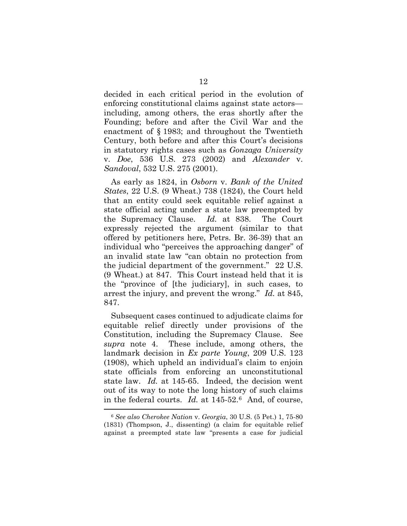decided in each critical period in the evolution of enforcing constitutional claims against state actors including, among others, the eras shortly after the Founding; before and after the Civil War and the enactment of § 1983; and throughout the Twentieth Century, both before and after this Court's decisions in statutory rights cases such as *Gonzaga University*  v. *Doe*, 536 U.S. 273 (2002) and *Alexander* v. *Sandoval*, 532 U.S. 275 (2001).

As early as 1824, in *Osborn* v. *Bank of the United States*, 22 U.S. (9 Wheat.) 738 (1824), the Court held that an entity could seek equitable relief against a state official acting under a state law preempted by the Supremacy Clause. *Id.* at 838. The Court expressly rejected the argument (similar to that offered by petitioners here, Petrs. Br. 36-39) that an individual who "perceives the approaching danger" of an invalid state law "can obtain no protection from the judicial department of the government." 22 U.S. (9 Wheat.) at 847. This Court instead held that it is the "province of [the judiciary], in such cases, to arrest the injury, and prevent the wrong." *Id.* at 845, 847.

Subsequent cases continued to adjudicate claims for equitable relief directly under provisions of the Constitution, including the Supremacy Clause. See *supra* note [4.](#page-21-2) These include, among others, the landmark decision in *Ex parte Young*, 209 U.S. 123 (1908), which upheld an individual's claim to enjoin state officials from enforcing an unconstitutional state law. *Id.* at 145-65. Indeed, the decision went out of its way to note the long history of such claims in the federal courts. *Id.* at 145-52.[6](#page-22-0) And, of course,

<span id="page-22-0"></span> <sup>6</sup> *See also Cherokee Nation* v. *Georgia*, 30 U.S. (5 Pet.) 1, 75-80 (1831) (Thompson, J., dissenting) (a claim for equitable relief against a preempted state law "presents a case for judicial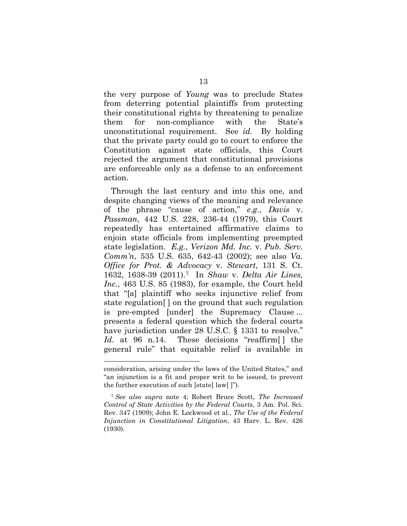the very purpose of *Young* was to preclude States from deterring potential plaintiffs from protecting their constitutional rights by threatening to penalize them for non-compliance with the State's unconstitutional requirement. See *id.* By holding that the private party could go to court to enforce the Constitution against state officials, this Court rejected the argument that constitutional provisions are enforceable only as a defense to an enforcement action.

Through the last century and into this one, and despite changing views of the meaning and relevance of the phrase "cause of action," *e.g.*, *Davis* v. *Passman*, 442 U.S. 228, 236-44 (1979), this Court repeatedly has entertained affirmative claims to enjoin state officials from implementing preempted state legislation. *E.g.*, *Verizon Md. Inc.* v. *Pub. Serv. Comm'n*, 535 U.S. 635, 642-43 (2002); see also *Va. Office for Prot. & Advocacy* v. *Stewart*, 131 S. Ct. 1632, 1638-39 (2011)[.7](#page-23-0) In *Shaw* v. *Delta Air Lines, Inc.*, 463 U.S. 85 (1983), for example, the Court held that "[a] plaintiff who seeks injunctive relief from state regulation[ ] on the ground that such regulation is pre-empted [under] the Supremacy Clause ... presents a federal question which the federal courts have jurisdiction under 28 U.S.C. § 1331 to resolve." *Id.* at 96 n.14. These decisions "reaffirm [] the general rule" that equitable relief is available in

 $\overline{a}$ 

consideration, arising under the laws of the United States," and "an injunction is a fit and proper writ to be issued, to prevent the further execution of such [state] law[ ]").

<span id="page-23-0"></span><sup>7</sup> *See also supra* note [4;](#page-21-2) Robert Bruce Scott, *The Increased Control of State Activities by the Federal Courts*, 3 Am. Pol. Sci. Rev. 347 (1909); John E. Lockwood et al., *The Use of the Federal Injunction in Constitutional Litigation*, 43 Harv. L. Rev. 426 (1930).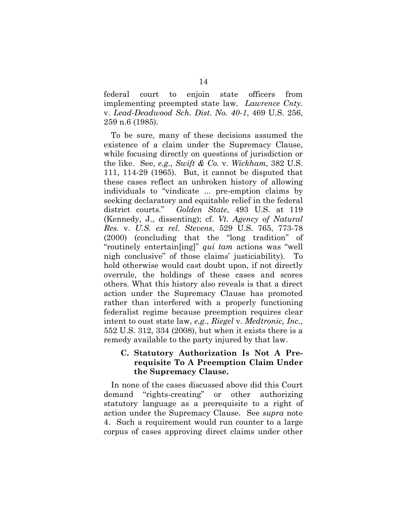federal court to enjoin state officers from implementing preempted state law. *Lawrence Cnty.* v. *Lead-Deadwood Sch. Dist. No. 40-1*, 469 U.S. 256, 259 n.6 (1985).

To be sure, many of these decisions assumed the existence of a claim under the Supremacy Clause, while focusing directly on questions of jurisdiction or the like. See, *e.g.*, *Swift & Co.* v. *Wickham*, 382 U.S. 111, 114-29 (1965). But, it cannot be disputed that these cases reflect an unbroken history of allowing individuals to "vindicate ... pre-emption claims by seeking declaratory and equitable relief in the federal district courts." *Golden State*, 493 U.S. at 119 (Kennedy, J., dissenting); cf. *Vt. Agency of Natural Res.* v. *U.S. ex rel. Stevens*, 529 U.S. 765, 773-78 (2000) (concluding that the "long tradition" of "routinely entertain[ing]" *qui tam* actions was "well nigh conclusive" of those claims' justiciability). To hold otherwise would cast doubt upon, if not directly overrule, the holdings of these cases and scores others. What this history also reveals is that a direct action under the Supremacy Clause has promoted rather than interfered with a properly functioning federalist regime because preemption requires clear intent to oust state law, *e.g.*, *Riegel* v. *Medtronic, Inc.*, 552 U.S. 312, 334 (2008), but when it exists there is a remedy available to the party injured by that law.

### **C. Statutory Authorization Is Not A Prerequisite To A Preemption Claim Under the Supremacy Clause.**

In none of the cases discussed above did this Court demand "rights-creating" or other authorizing statutory language as a prerequisite to a right of action under the Supremacy Clause. See *supra* note [4.](#page-21-2) Such a requirement would run counter to a large corpus of cases approving direct claims under other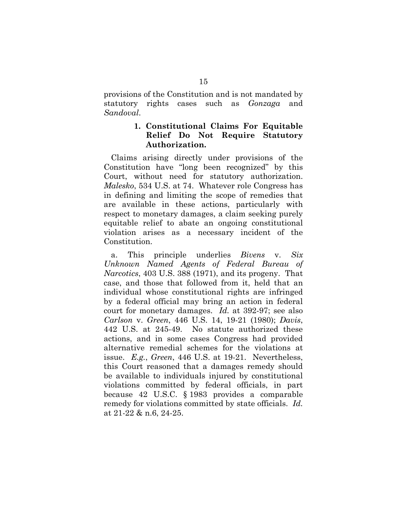provisions of the Constitution and is not mandated by statutory rights cases such as *Gonzaga* and *Sandoval*.

### **1. Constitutional Claims For Equitable Relief Do Not Require Statutory Authorization.**

Claims arising directly under provisions of the Constitution have "long been recognized" by this Court, without need for statutory authorization. *Malesko*, 534 U.S. at 74. Whatever role Congress has in defining and limiting the scope of remedies that are available in these actions, particularly with respect to monetary damages, a claim seeking purely equitable relief to abate an ongoing constitutional violation arises as a necessary incident of the Constitution.

a. This principle underlies *Bivens* v. *Six Unknown Named Agents of Federal Bureau of Narcotics*, 403 U.S. 388 (1971), and its progeny. That case, and those that followed from it, held that an individual whose constitutional rights are infringed by a federal official may bring an action in federal court for monetary damages. *Id.* at 392-97; see also *Carlson* v. *Green*, 446 U.S. 14, 19-21 (1980); *Davis*, 442 U.S. at 245-49. No statute authorized these actions, and in some cases Congress had provided alternative remedial schemes for the violations at issue. *E.g.*, *Green*, 446 U.S. at 19-21. Nevertheless, this Court reasoned that a damages remedy should be available to individuals injured by constitutional violations committed by federal officials, in part because 42 U.S.C. § 1983 provides a comparable remedy for violations committed by state officials. *Id.*  at 21-22 & n.6, 24-25.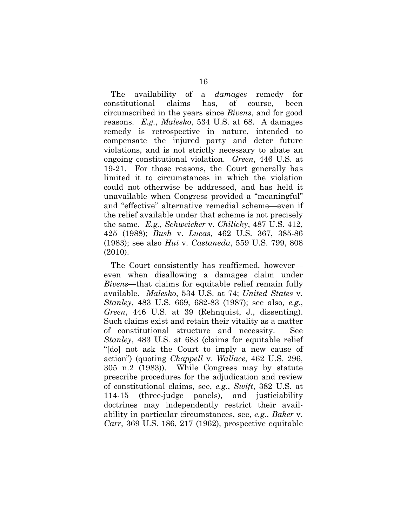The availability of a *damages* remedy for constitutional claims has, of course, been circumscribed in the years since *Bivens*, and for good reasons. *E.g.*, *Malesko*, 534 U.S. at 68. A damages remedy is retrospective in nature, intended to compensate the injured party and deter future violations, and is not strictly necessary to abate an ongoing constitutional violation. *Green*, 446 U.S. at 19-21. For those reasons, the Court generally has limited it to circumstances in which the violation could not otherwise be addressed, and has held it unavailable when Congress provided a "meaningful" and "effective" alternative remedial scheme—even if the relief available under that scheme is not precisely the same. *E.g.*, *Schweicker* v. *Chilicky*, 487 U.S. 412, 425 (1988); *Bush* v. *Lucas*, 462 U.S. 367, 385-86 (1983); see also *Hui* v. *Castaneda*, 559 U.S. 799, 808 (2010).

The Court consistently has reaffirmed, however even when disallowing a damages claim under *Bivens*—that claims for equitable relief remain fully available. *Malesko*, 534 U.S. at 74; *United States* v. *Stanley*, 483 U.S. 669, 682-83 (1987); see also*, e.g.*, *Green*, 446 U.S. at 39 (Rehnquist, J., dissenting). Such claims exist and retain their vitality as a matter of constitutional structure and necessity. See *Stanley*, 483 U.S. at 683 (claims for equitable relief "[do] not ask the Court to imply a new cause of action") (quoting *Chappell* v. *Wallace*, 462 U.S. 296, 305 n.2 (1983)). While Congress may by statute prescribe procedures for the adjudication and review of constitutional claims, see, *e.g.*, *Swift*, 382 U.S. at 114-15 (three-judge panels), and justiciability doctrines may independently restrict their availability in particular circumstances, see, *e.g.*, *Baker* v. *Carr*, 369 U.S. 186, 217 (1962), prospective equitable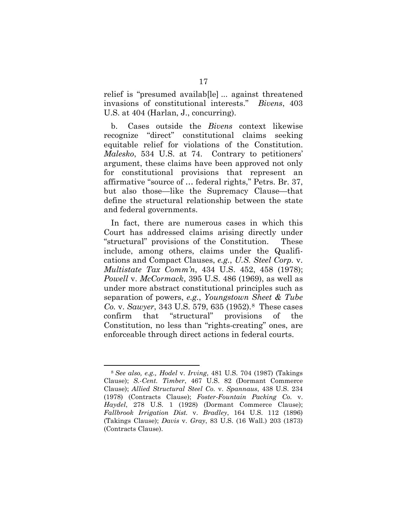relief is "presumed availab[le] ... against threatened invasions of constitutional interests." *Bivens*, 403 U.S. at 404 (Harlan, J., concurring).

b. Cases outside the *Bivens* context likewise recognize "direct" constitutional claims seeking equitable relief for violations of the Constitution. *Malesko*, 534 U.S. at 74. Contrary to petitioners' argument, these claims have been approved not only for constitutional provisions that represent an affirmative "source of … federal rights," Petrs. Br. 37, but also those—like the Supremacy Clause—that define the structural relationship between the state and federal governments.

In fact, there are numerous cases in which this Court has addressed claims arising directly under "structural" provisions of the Constitution. These include, among others, claims under the Qualifications and Compact Clauses, *e.g.*, *U.S. Steel Corp.* v. *Multistate Tax Comm'n*, 434 U.S. 452, 458 (1978); *Powell* v. *McCormack*, 395 U.S. 486 (1969), as well as under more abstract constitutional principles such as separation of powers, *e.g.*, *Youngstown Sheet & Tube Co.* v. *Sawyer*, 343 U.S. 579, 635 (1952).[8](#page-27-0) These cases confirm that "structural" provisions of the Constitution, no less than "rights-creating" ones, are enforceable through direct actions in federal courts.

<span id="page-27-0"></span> <sup>8</sup> *See also, e.g., Hodel* v. *Irving*, 481 U.S. 704 (1987) (Takings Clause); *S.-Cent. Timber*, 467 U.S. 82 (Dormant Commerce Clause); *Allied Structural Steel Co.* v. *Spannaus*, 438 U.S. 234 (1978) (Contracts Clause); *Foster-Fountain Packing Co.* v. *Haydel*, 278 U.S. 1 (1928) (Dormant Commerce Clause); *Fallbrook Irrigation Dist.* v. *Bradley*, 164 U.S. 112 (1896) (Takings Clause); *Davis* v. *Gray*, 83 U.S. (16 Wall.) 203 (1873) (Contracts Clause).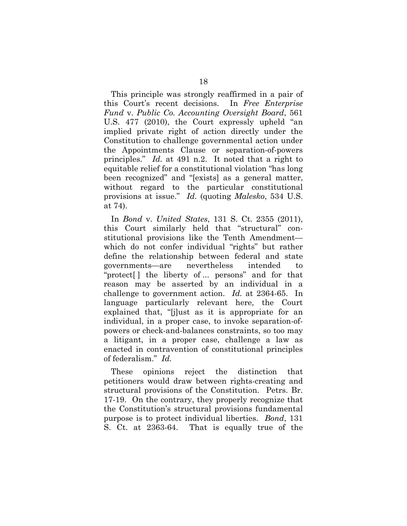This principle was strongly reaffirmed in a pair of this Court's recent decisions. In *Free Enterprise Fund* v. *Public Co. Accounting Oversight Board*, 561 U.S. 477 (2010), the Court expressly upheld "an implied private right of action directly under the Constitution to challenge governmental action under the Appointments Clause or separation-of-powers principles." *Id.* at 491 n.2. It noted that a right to equitable relief for a constitutional violation "has long been recognized" and "[exists] as a general matter, without regard to the particular constitutional provisions at issue." *Id.* (quoting *Malesko*, 534 U.S. at 74).

In *Bond* v. *United States*, 131 S. Ct. 2355 (2011), this Court similarly held that "structural" constitutional provisions like the Tenth Amendment which do not confer individual "rights" but rather define the relationship between federal and state governments—are nevertheless intended to "protect[ ] the liberty of ... persons" and for that reason may be asserted by an individual in a challenge to government action. *Id.* at 2364-65. In language particularly relevant here, the Court explained that, "[j]ust as it is appropriate for an individual, in a proper case, to invoke separation-ofpowers or check-and-balances constraints, so too may a litigant, in a proper case, challenge a law as enacted in contravention of constitutional principles of federalism." *Id.*

These opinions reject the distinction that petitioners would draw between rights-creating and structural provisions of the Constitution. Petrs. Br. 17-19. On the contrary, they properly recognize that the Constitution's structural provisions fundamental purpose is to protect individual liberties. *Bond*, 131 S. Ct. at 2363-64. That is equally true of the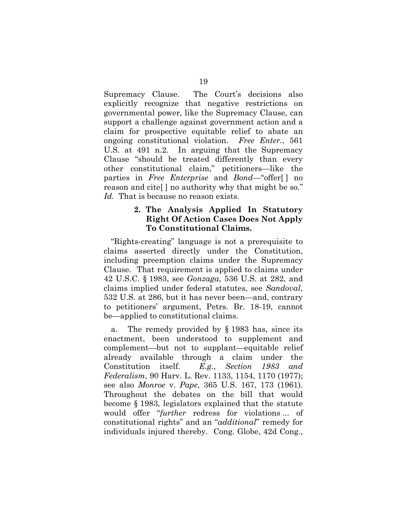Supremacy Clause. The Court's decisions also explicitly recognize that negative restrictions on governmental power, like the Supremacy Clause, can support a challenge against government action and a claim for prospective equitable relief to abate an ongoing constitutional violation. *Free Enter.*, 561 U.S. at 491 n.2. In arguing that the Supremacy Clause "should be treated differently than every other constitutional claim," petitioners—like the parties in *Free Enterprise* and *Bond*—"offer[ ] no reason and cite[ ] no authority why that might be so." *Id.* That is because no reason exists.

### **2. The Analysis Applied In Statutory Right Of Action Cases Does Not Apply To Constitutional Claims.**

"Rights-creating" language is not a prerequisite to claims asserted directly under the Constitution, including preemption claims under the Supremacy Clause. That requirement is applied to claims under 42 U.S.C. § 1983, see *Gonzaga*, 536 U.S. at 282, and claims implied under federal statutes, see *Sandoval*, 532 U.S. at 286, but it has never been—and, contrary to petitioners' argument, Petrs. Br. 18-19, cannot be—applied to constitutional claims.

a. The remedy provided by § 1983 has, since its enactment, been understood to supplement and complement—but not to supplant—equitable relief already available through a claim under the Constitution itself. *E.g.*, *Section 1983 and Federalism*, 90 Harv. L. Rev. 1133, 1154, 1170 (1977); see also *Monroe* v. *Pape*, 365 U.S. 167, 173 (1961). Throughout the debates on the bill that would become § 1983, legislators explained that the statute would offer "*further* redress for violations ... of constitutional rights" and an "*additional*" remedy for individuals injured thereby. Cong. Globe, 42d Cong.,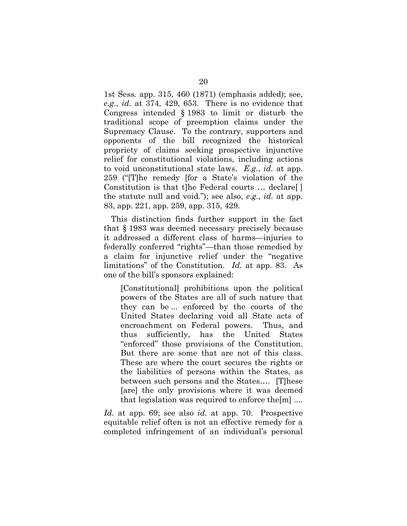1st Sess. app. 315, 460 (1871) (emphasis added); see, *e.g.*, *id.* at 374, 429, 653. There is no evidence that Congress intended § 1983 to limit or disturb the traditional scope of preemption claims under the Supremacy Clause. To the contrary, supporters and opponents of the bill recognized the historical propriety of claims seeking prospective injunctive relief for constitutional violations, including actions to void unconstitutional state laws. *E.g.*, *id.* at app. 259 ("[T]he remedy [for a State's violation of the Constitution is that t]he Federal courts … declare[ ] the statute null and void."); see also, *e.g.*, *id.* at app. 83, app. 221, app. 259, app. 315, 429.

This distinction finds further support in the fact that § 1983 was deemed necessary precisely because it addressed a different class of harms—injuries to federally conferred "rights"—than those remedied by a claim for injunctive relief under the "negative limitations" of the Constitution. *Id.* at app. 83. As one of the bill's sponsors explained:

[Constitutional] prohibitions upon the political powers of the States are all of such nature that they can be ... enforced by the courts of the United States declaring void all State acts of encroachment on Federal powers. Thus, and thus sufficiently, has the United States "enforced" those provisions of the Constitution. But there are some that are not of this class. These are where the court secures the rights or the liabilities of persons within the States, as between such persons and the States…. [T]hese [are] the only provisions where it was deemed that legislation was required to enforce the[m] ....

*Id.* at app. 69; see also *id.* at app. 70. Prospective equitable relief often is not an effective remedy for a completed infringement of an individual's personal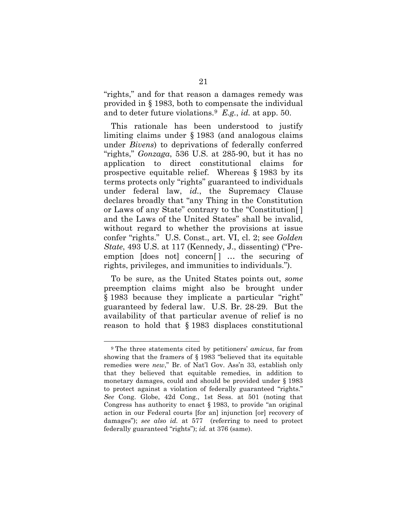"rights," and for that reason a damages remedy was provided in § 1983, both to compensate the individual and to deter future violations.[9](#page-31-0) *E.g.*, *id.* at app. 50.

This rationale has been understood to justify limiting claims under § 1983 (and analogous claims under *Bivens*) to deprivations of federally conferred "rights," *Gonzaga*, 536 U.S. at 285-90, but it has no application to direct constitutional claims for prospective equitable relief. Whereas § 1983 by its terms protects only "rights" guaranteed to individuals under federal law, *id.*, the Supremacy Clause declares broadly that "any Thing in the Constitution or Laws of any State" contrary to the "Constitution[ ] and the Laws of the United States" shall be invalid, without regard to whether the provisions at issue confer "rights." U.S. Const., art. VI, cl. 2; see *Golden State*, 493 U.S. at 117 (Kennedy, J., dissenting) ("Preemption [does not] concern<sup>[]</sup> ... the securing of rights, privileges, and immunities to individuals.").

To be sure, as the United States points out, *some* preemption claims might also be brought under § 1983 because they implicate a particular "right" guaranteed by federal law. U.S. Br. 28-29. But the availability of that particular avenue of relief is no reason to hold that § 1983 displaces constitutional

<span id="page-31-0"></span> <sup>9</sup> The three statements cited by petitioners' *amicus*, far from showing that the framers of § 1983 "believed that its equitable remedies were *new*," Br. of Nat'l Gov. Ass'n 33, establish only that they believed that equitable remedies, in addition to monetary damages, could and should be provided under § 1983 to protect against a violation of federally guaranteed "rights." *See* Cong. Globe, 42d Cong., 1st Sess. at 501 (noting that Congress has authority to enact § 1983, to provide "an original action in our Federal courts [for an] injunction [or] recovery of damages"); *see also id.* at 577 (referring to need to protect federally guaranteed "rights"); *id.* at 376 (same).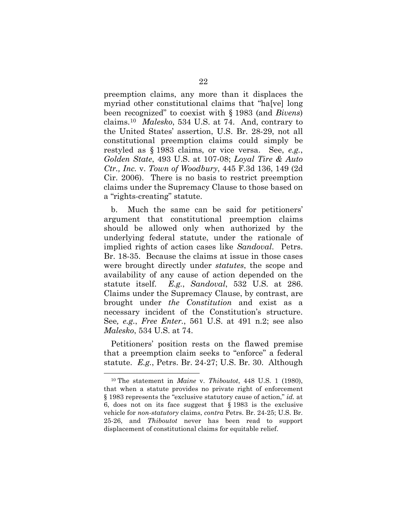preemption claims, any more than it displaces the myriad other constitutional claims that "ha[ve] long been recognized" to coexist with § 1983 (and *Bivens*) claims.[10](#page-32-0) *Malesko*, 534 U.S. at 74. And, contrary to the United States' assertion, U.S. Br. 28-29, not all constitutional preemption claims could simply be restyled as § 1983 claims, or vice versa. See, *e.g.*, *Golden State*, 493 U.S. at 107-08; *Loyal Tire & Auto Ctr., Inc.* v. *Town of Woodbury*, 445 F.3d 136, 149 (2d Cir. 2006). There is no basis to restrict preemption claims under the Supremacy Clause to those based on a "rights-creating" statute.

b. Much the same can be said for petitioners' argument that constitutional preemption claims should be allowed only when authorized by the underlying federal statute, under the rationale of implied rights of action cases like *Sandoval*. Petrs. Br. 18-35. Because the claims at issue in those cases were brought directly under *statutes*, the scope and availability of any cause of action depended on the statute itself. *E.g.*, *Sandoval*, 532 U.S. at 286. Claims under the Supremacy Clause, by contrast, are brought under *the Constitution* and exist as a necessary incident of the Constitution's structure. See*, e.g.*, *Free Enter.*, 561 U.S. at 491 n.2; see also *Malesko*, 534 U.S. at 74.

Petitioners' position rests on the flawed premise that a preemption claim seeks to "enforce" a federal statute. *E.g.*, Petrs. Br. 24-27; U.S. Br. 30. Although

<span id="page-32-0"></span> <sup>10</sup> The statement in *Maine* v. *Thiboutot*, 448 U.S. 1 (1980), that when a statute provides no private right of enforcement § 1983 represents the "exclusive statutory cause of action," *id.* at 6, does not on its face suggest that § 1983 is the exclusive vehicle for *non-statutory* claims, *contra* Petrs. Br. 24-25; U.S. Br. 25-26, and *Thiboutot* never has been read to support displacement of constitutional claims for equitable relief.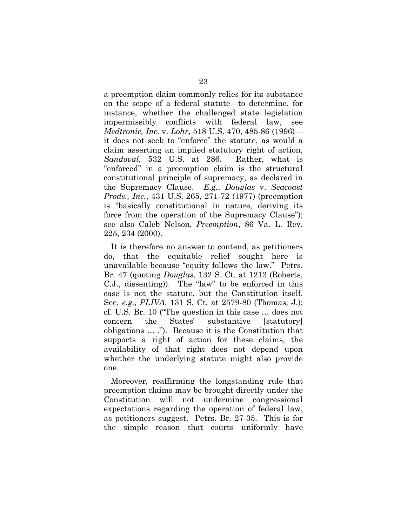a preemption claim commonly relies for its substance on the scope of a federal statute—to determine, for instance, whether the challenged state legislation impermissibly conflicts with federal law, see *Medtronic, Inc.* v. *Lohr*, 518 U.S. 470, 485-86 (1996) it does not seek to "enforce" the statute, as would a claim asserting an implied statutory right of action, *Sandoval*, 532 U.S. at 286. Rather, what is "enforced" in a preemption claim is the structural constitutional principle of supremacy, as declared in the Supremacy Clause. *E.g.*, *Douglas* v. *Seacoast Prods., Inc.*, 431 U.S. 265, 271-72 (1977) (preemption is "basically constitutional in nature, deriving its force from the operation of the Supremacy Clause"); see also Caleb Nelson, *Preemption*, 86 Va. L. Rev. 225, 234 (2000).

It is therefore no answer to contend, as petitioners do, that the equitable relief sought here is unavailable because "equity follows the law." Petrs. Br. 47 (quoting *Douglas*, 132 S. Ct. at 1213 (Roberts, C.J., dissenting)). The "law" to be enforced in this case is not the statute, but the Constitution itself. See, *e.g.*, *PLIVA*, 131 S. Ct. at 2579-80 (Thomas, J.); cf. U.S. Br. 10 ("The question in this case … does not concern the States' substantive [statutory] obligations … ."). Because it is the Constitution that supports a right of action for these claims, the availability of that right does not depend upon whether the underlying statute might also provide one.

Moreover, reaffirming the longstanding rule that preemption claims may be brought directly under the Constitution will not undermine congressional expectations regarding the operation of federal law, as petitioners suggest. Petrs. Br. 27-35. This is for the simple reason that courts uniformly have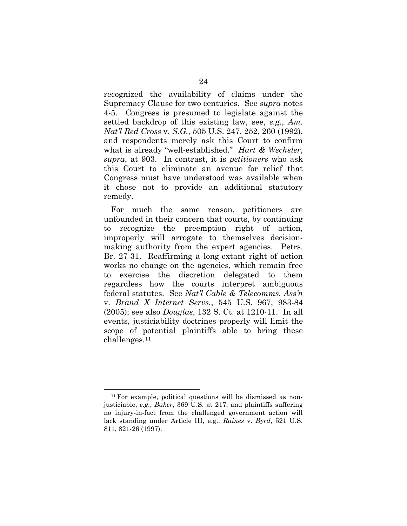recognized the availability of claims under the Supremacy Clause for two centuries. See *supra* notes [4-](#page-21-2)[5.](#page-21-3) Congress is presumed to legislate against the settled backdrop of this existing law, see, *e.g.*, *Am. Nat'l Red Cross* v. *S.G.*, 505 U.S. 247, 252, 260 (1992), and respondents merely ask this Court to confirm what is already "well-established." *Hart & Wechsler*, *supra*, at 903. In contrast, it is *petitioners* who ask this Court to eliminate an avenue for relief that Congress must have understood was available when it chose not to provide an additional statutory remedy.

For much the same reason, petitioners are unfounded in their concern that courts, by continuing to recognize the preemption right of action, improperly will arrogate to themselves decisionmaking authority from the expert agencies. Petrs. Br. 27-31. Reaffirming a long-extant right of action works no change on the agencies, which remain free to exercise the discretion delegated to them regardless how the courts interpret ambiguous federal statutes. See *Nat'l Cable & Telecomms. Ass'n* v. *Brand X Internet Servs.*, 545 U.S. 967, 983-84 (2005); see also *Douglas*, 132 S. Ct. at 1210-11. In all events, justiciability doctrines properly will limit the scope of potential plaintiffs able to bring these challenges.[11](#page-34-0)

<span id="page-34-0"></span><sup>&</sup>lt;sup>11</sup> For example, political questions will be dismissed as nonjusticiable, *e.g.*, *Baker*, 369 U.S. at 217, and plaintiffs suffering no injury-in-fact from the challenged government action will lack standing under Article III, e.g., *Raines* v. *Byrd*, 521 U.S. 811, 821-26 (1997).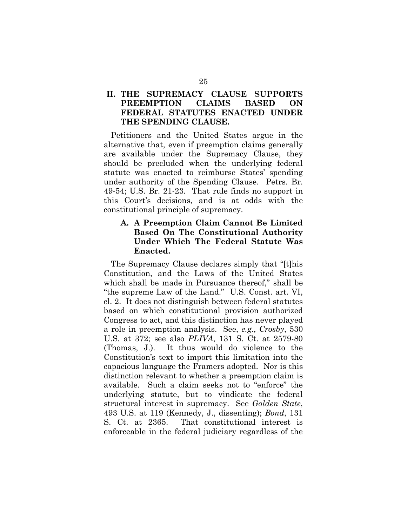## **II. THE SUPREMACY CLAUSE SUPPORTS PREEMPTION CLAIMS BASED ON FEDERAL STATUTES ENACTED UNDER THE SPENDING CLAUSE.**

Petitioners and the United States argue in the alternative that, even if preemption claims generally are available under the Supremacy Clause, they should be precluded when the underlying federal statute was enacted to reimburse States' spending under authority of the Spending Clause. Petrs. Br. 49-54; U.S. Br. 21-23. That rule finds no support in this Court's decisions, and is at odds with the constitutional principle of supremacy.

### **A. A Preemption Claim Cannot Be Limited Based On The Constitutional Authority Under Which The Federal Statute Was Enacted.**

The Supremacy Clause declares simply that "[t]his Constitution, and the Laws of the United States which shall be made in Pursuance thereof," shall be "the supreme Law of the Land." U.S. Const. art. VI, cl. 2. It does not distinguish between federal statutes based on which constitutional provision authorized Congress to act, and this distinction has never played a role in preemption analysis. See, *e.g.*, *Crosby*, 530 U.S. at 372; see also *PLIVA*, 131 S. Ct. at 2579-80 (Thomas, J.). It thus would do violence to the Constitution's text to import this limitation into the capacious language the Framers adopted. Nor is this distinction relevant to whether a preemption claim is available. Such a claim seeks not to "enforce" the underlying statute, but to vindicate the federal structural interest in supremacy. See *Golden State*, 493 U.S. at 119 (Kennedy, J., dissenting); *Bond*, 131 S. Ct. at 2365. That constitutional interest is enforceable in the federal judiciary regardless of the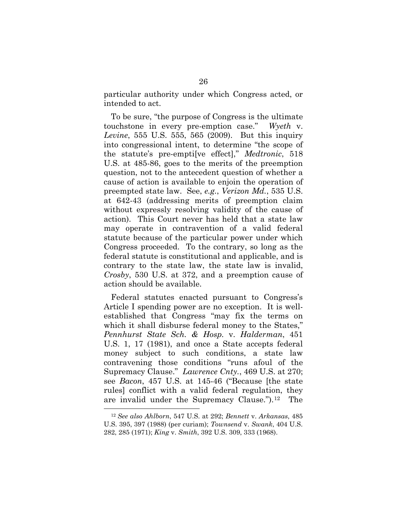particular authority under which Congress acted, or intended to act.

To be sure, "the purpose of Congress is the ultimate touchstone in every pre-emption case." *Wyeth* v. *Levine*, 555 U.S. 555, 565 (2009). But this inquiry into congressional intent, to determine "the scope of the statute's pre-empti[ve effect]," *Medtronic*, 518 U.S. at 485-86, goes to the merits of the preemption question, not to the antecedent question of whether a cause of action is available to enjoin the operation of preempted state law. See, *e.g.*, *Verizon Md.*, 535 U.S. at 642-43 (addressing merits of preemption claim without expressly resolving validity of the cause of action). This Court never has held that a state law may operate in contravention of a valid federal statute because of the particular power under which Congress proceeded. To the contrary, so long as the federal statute is constitutional and applicable, and is contrary to the state law, the state law is invalid, *Crosby*, 530 U.S. at 372, and a preemption cause of action should be available.

Federal statutes enacted pursuant to Congress's Article I spending power are no exception. It is wellestablished that Congress "may fix the terms on which it shall disburse federal money to the States," *Pennhurst State Sch. & Hosp.* v. *Halderman*, 451 U.S. 1, 17 (1981), and once a State accepts federal money subject to such conditions, a state law contravening those conditions "runs afoul of the Supremacy Clause." *Lawrence Cnty.*, 469 U.S. at 270; see *Bacon*, 457 U.S. at 145-46 ("Because [the state rules] conflict with a valid federal regulation, they are invalid under the Supremacy Clause.").[12](#page-36-0) The

<span id="page-36-0"></span> <sup>12</sup> *See also Ahlborn*, 547 U.S. at 292; *Bennett* v. *Arkansas*, 485 U.S. 395, 397 (1988) (per curiam); *Townsend* v. *Swank*, 404 U.S. 282, 285 (1971); *King* v. *Smith*, 392 U.S. 309, 333 (1968).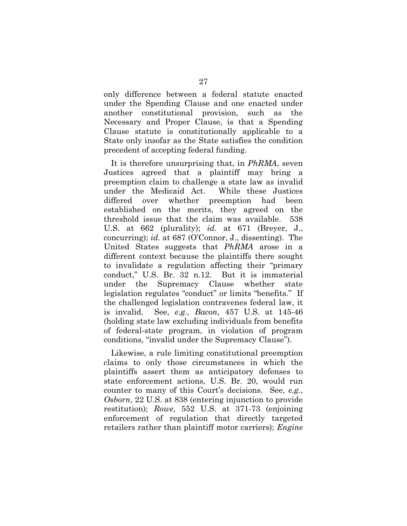only difference between a federal statute enacted under the Spending Clause and one enacted under another constitutional provision, such as the Necessary and Proper Clause, is that a Spending Clause statute is constitutionally applicable to a State only insofar as the State satisfies the condition precedent of accepting federal funding.

It is therefore unsurprising that, in *PhRMA*, seven Justices agreed that a plaintiff may bring a preemption claim to challenge a state law as invalid under the Medicaid Act. While these Justices differed over whether preemption had been established on the merits, they agreed on the threshold issue that the claim was available. 538 U.S. at 662 (plurality); *id.* at 671 (Breyer, J., concurring); *id.* at 687 (O'Connor, J., dissenting). The United States suggests that *PhRMA* arose in a different context because the plaintiffs there sought to invalidate a regulation affecting their "primary conduct," U.S. Br. 32 n.12. But it is immaterial under the Supremacy Clause whether state legislation regulates "conduct" or limits "benefits." If the challenged legislation contravenes federal law, it is invalid. See, *e.g.*, *Bacon*, 457 U.S. at 145-46 (holding state law excluding individuals from benefits of federal-state program, in violation of program conditions, "invalid under the Supremacy Clause").

Likewise, a rule limiting constitutional preemption claims to only those circumstances in which the plaintiffs assert them as anticipatory defenses to state enforcement actions, U.S. Br. 20, would run counter to many of this Court's decisions. See, *e.g.*, *Osborn*, 22 U.S. at 838 (entering injunction to provide restitution); *Rowe*, 552 U.S. at 371-73 (enjoining enforcement of regulation that directly targeted retailers rather than plaintiff motor carriers); *Engine*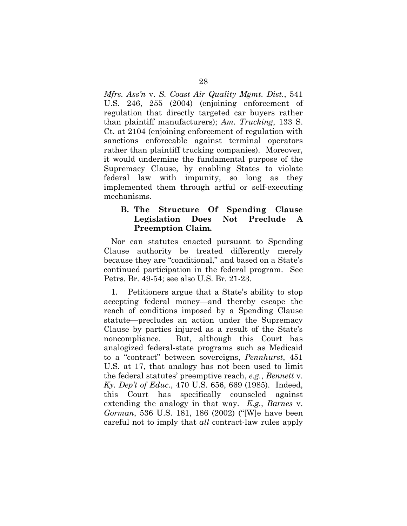*Mfrs. Ass'n* v. *S. Coast Air Quality Mgmt. Dist.*, 541 U.S. 246, 255 (2004) (enjoining enforcement of regulation that directly targeted car buyers rather than plaintiff manufacturers); *Am. Trucking*, 133 S. Ct. at 2104 (enjoining enforcement of regulation with sanctions enforceable against terminal operators rather than plaintiff trucking companies). Moreover, it would undermine the fundamental purpose of the Supremacy Clause, by enabling States to violate federal law with impunity, so long as they implemented them through artful or self-executing mechanisms.

### **B. The Structure Of Spending Clause Legislation Does Not Preclude A Preemption Claim.**

Nor can statutes enacted pursuant to Spending Clause authority be treated differently merely because they are "conditional," and based on a State's continued participation in the federal program. See Petrs. Br. 49-54; see also U.S. Br. 21-23.

1. Petitioners argue that a State's ability to stop accepting federal money—and thereby escape the reach of conditions imposed by a Spending Clause statute—precludes an action under the Supremacy Clause by parties injured as a result of the State's noncompliance. But, although this Court has analogized federal-state programs such as Medicaid to a "contract" between sovereigns, *Pennhurst*, 451 U.S. at 17, that analogy has not been used to limit the federal statutes' preemptive reach, *e.g.*, *Bennett* v. *Ky. Dep't of Educ.*, 470 U.S. 656, 669 (1985). Indeed, this Court has specifically counseled against extending the analogy in that way. *E.g.*, *Barnes* v. *Gorman*, 536 U.S. 181, 186 (2002) ("[W]e have been careful not to imply that *all* contract-law rules apply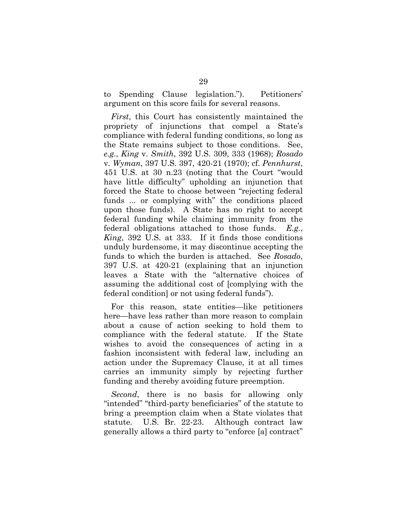to Spending Clause legislation."). Petitioners' argument on this score fails for several reasons.

*First*, this Court has consistently maintained the propriety of injunctions that compel a State's compliance with federal funding conditions, so long as the State remains subject to those conditions. See, *e.g.*, *King* v. *Smith*, 392 U.S. 309, 333 (1968); *Rosado*  v. *Wyman*, 397 U.S. 397, 420-21 (1970); cf. *Pennhurst*, 451 U.S. at 30 n.23 (noting that the Court "would have little difficulty" upholding an injunction that forced the State to choose between "rejecting federal funds ... or complying with" the conditions placed upon those funds). A State has no right to accept federal funding while claiming immunity from the federal obligations attached to those funds. *E.g.*, *King*, 392 U.S. at 333. If it finds those conditions unduly burdensome, it may discontinue accepting the funds to which the burden is attached. See *Rosado*, 397 U.S. at 420-21 (explaining that an injunction leaves a State with the "alternative choices of assuming the additional cost of [complying with the federal condition] or not using federal funds").

For this reason, state entities—like petitioners here—have less rather than more reason to complain about a cause of action seeking to hold them to compliance with the federal statute. If the State wishes to avoid the consequences of acting in a fashion inconsistent with federal law, including an action under the Supremacy Clause, it at all times carries an immunity simply by rejecting further funding and thereby avoiding future preemption.

*Second*, there is no basis for allowing only "intended" "third-party beneficiaries" of the statute to bring a preemption claim when a State violates that statute. U.S. Br. 22-23. Although contract law generally allows a third party to "enforce [a] contract"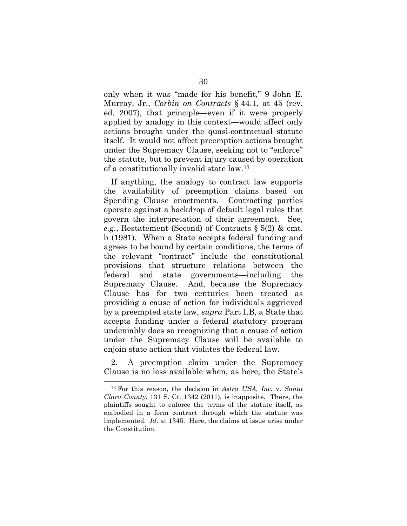only when it was "made for his benefit," 9 John E. Murray, Jr., *Corbin on Contracts* § 44.1, at 45 (rev. ed. 2007), that principle—even if it were properly applied by analogy in this context—would affect only actions brought under the quasi-contractual statute itself. It would not affect preemption actions brought under the Supremacy Clause, seeking not to "enforce" the statute, but to prevent injury caused by operation of a constitutionally invalid state law.[13](#page-40-0)

If anything, the analogy to contract law supports the availability of preemption claims based on Spending Clause enactments. Contracting parties operate against a backdrop of default legal rules that govern the interpretation of their agreement. See, *e.g.*, Restatement (Second) of Contracts § 5(2) & cmt. b (1981). When a State accepts federal funding and agrees to be bound by certain conditions, the terms of the relevant "contract" include the constitutional provisions that structure relations between the federal and state governments—including the Supremacy Clause. And, because the Supremacy Clause has for two centuries been treated as providing a cause of action for individuals aggrieved by a preempted state law, *supra* Part I.B, a State that accepts funding under a federal statutory program undeniably does so recognizing that a cause of action under the Supremacy Clause will be available to enjoin state action that violates the federal law.

2. A preemption claim under the Supremacy Clause is no less available when, as here, the State's

<span id="page-40-0"></span> <sup>13</sup> For this reason, the decision in *Astra USA, Inc.* v. *Santa Clara County*, 131 S. Ct. 1342 (2011), is inapposite. There, the plaintiffs sought to enforce the terms of the statute itself, as embodied in a form contract through which the statute was implemented. *Id.* at 1345. Here, the claims at issue arise under the Constitution.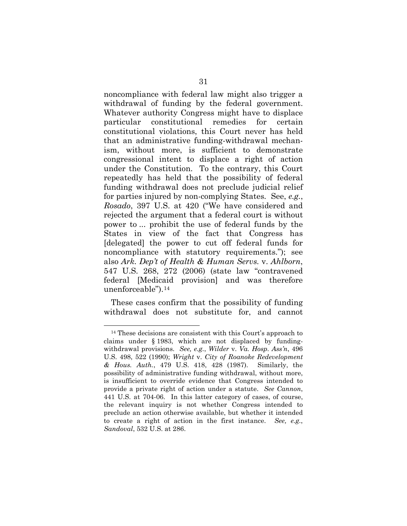noncompliance with federal law might also trigger a withdrawal of funding by the federal government. Whatever authority Congress might have to displace particular constitutional remedies for certain constitutional violations, this Court never has held that an administrative funding-withdrawal mechanism, without more, is sufficient to demonstrate congressional intent to displace a right of action under the Constitution. To the contrary, this Court repeatedly has held that the possibility of federal funding withdrawal does not preclude judicial relief for parties injured by non-complying States. See, *e.g.*, *Rosado*, 397 U.S. at 420 ("We have considered and rejected the argument that a federal court is without power to ... prohibit the use of federal funds by the States in view of the fact that Congress has [delegated] the power to cut off federal funds for noncompliance with statutory requirements."); see also *Ark. Dep't of Health & Human Servs.* v. *Ahlborn*, 547 U.S. 268, 272 (2006) (state law "contravened federal [Medicaid provision] and was therefore unenforceable").[14](#page-41-0)

These cases confirm that the possibility of funding withdrawal does not substitute for, and cannot

<span id="page-41-0"></span> <sup>14</sup> These decisions are consistent with this Court's approach to claims under § 1983, which are not displaced by fundingwithdrawal provisions. *See, e.g.*, *Wilder* v. *Va. Hosp. Ass'n*, 496 U.S. 498, 522 (1990); *Wright* v. *City of Roanoke Redevelopment & Hous. Auth.*, 479 U.S. 418, 428 (1987). Similarly, the possibility of administrative funding withdrawal, without more, is insufficient to override evidence that Congress intended to provide a private right of action under a statute. *See Cannon*, 441 U.S. at 704-06. In this latter category of cases, of course, the relevant inquiry is not whether Congress intended to preclude an action otherwise available, but whether it intended to create a right of action in the first instance. *See, e.g.*, *Sandoval*, 532 U.S. at 286.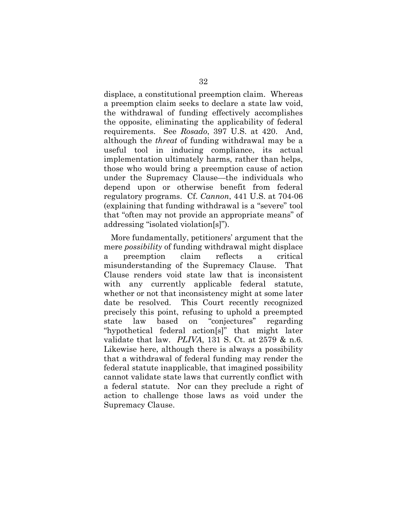displace, a constitutional preemption claim. Whereas a preemption claim seeks to declare a state law void, the withdrawal of funding effectively accomplishes the opposite, eliminating the applicability of federal requirements. See *Rosado*, 397 U.S. at 420. And, although the *threat* of funding withdrawal may be a useful tool in inducing compliance, its actual implementation ultimately harms, rather than helps, those who would bring a preemption cause of action under the Supremacy Clause—the individuals who depend upon or otherwise benefit from federal regulatory programs. Cf. *Cannon*, 441 U.S. at 704-06 (explaining that funding withdrawal is a "severe" tool that "often may not provide an appropriate means" of addressing "isolated violation[s]").

More fundamentally, petitioners' argument that the mere *possibility* of funding withdrawal might displace a preemption claim reflects a critical misunderstanding of the Supremacy Clause. That Clause renders void state law that is inconsistent with any currently applicable federal statute, whether or not that inconsistency might at some later date be resolved. This Court recently recognized precisely this point, refusing to uphold a preempted state law based on "conjectures" regarding "hypothetical federal action[s]" that might later validate that law. *PLIVA*, 131 S. Ct. at 2579 & n.6. Likewise here, although there is always a possibility that a withdrawal of federal funding may render the federal statute inapplicable, that imagined possibility cannot validate state laws that currently conflict with a federal statute. Nor can they preclude a right of action to challenge those laws as void under the Supremacy Clause.